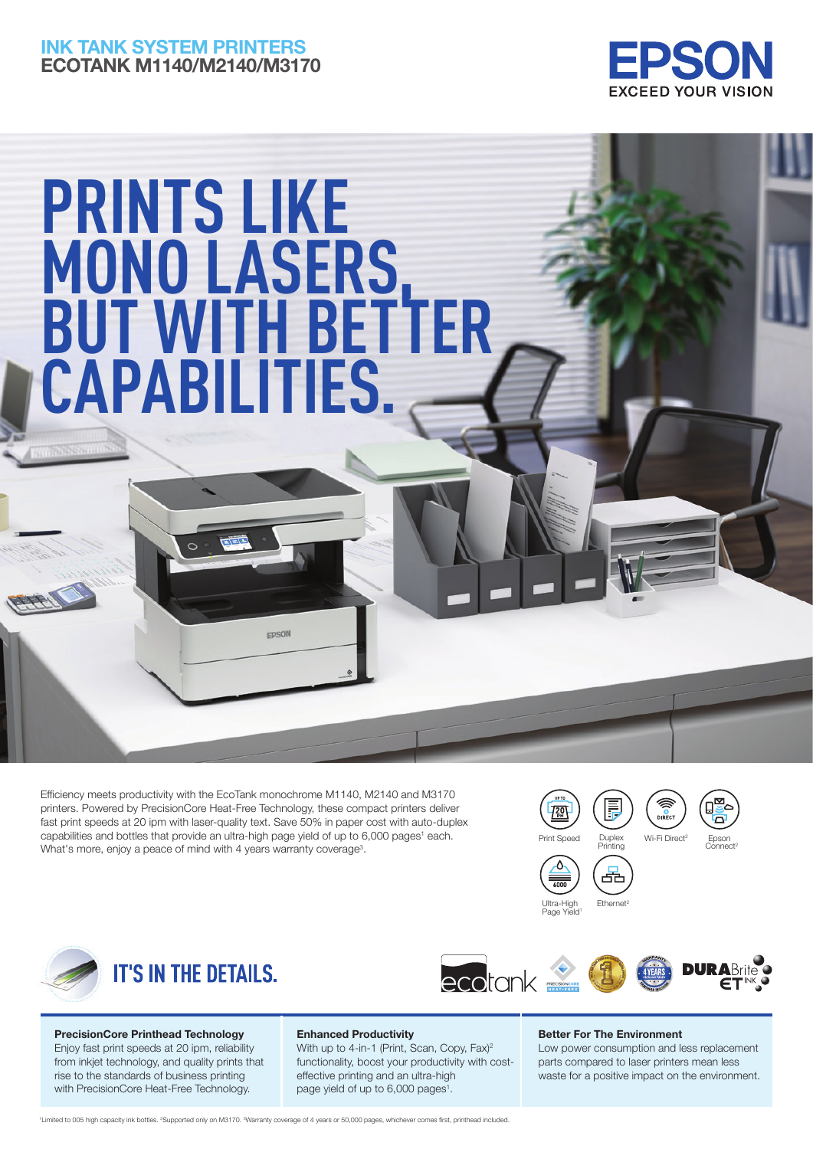# INK TANK SYSTEM PRINTERS ECOTANK M1140/M2140/M3170



# **PRINTS LIKE MONO LASERS, BUT WITH BETTER CAPABILITIES.**

Efficiency meets productivity with the EcoTank monochrome M1140, M2140 and M3170 printers. Powered by PrecisionCore Heat-Free Technology, these compact printers deliver fast print speeds at 20 ipm with laser-quality text. Save 50% in paper cost with auto-duplex capabilities and bottles that provide an ultra-high page yield of up to 6,000 pages<sup>1</sup> each. What's more, enjoy a peace of mind with 4 years warranty coverage<sup>3</sup>.

**FPSON** 







## PrecisionCore Printhead Technology Enjoy fast print speeds at 20 ipm, reliability

from inkjet technology, and quality prints that rise to the standards of business printing with PrecisionCore Heat-Free Technology.

### Enhanced Productivity

With up to 4-in-1 (Print, Scan, Copy, Fax)<sup>2</sup> functionality, boost your productivity with costeffective printing and an ultra-high page yield of up to  $6,000$  pages<sup>1</sup>.

#### Better For The Environment

Low power consumption and less replacement parts compared to laser printers mean less waste for a positive impact on the environment.

<sup>1</sup>Limited to 005 high capacity ink bottles. <sup>2</sup>Supported only on M3170. <sup>3</sup>Warranty coverage of 4 years or 50,000 pages, whichever comes first, printhead included.